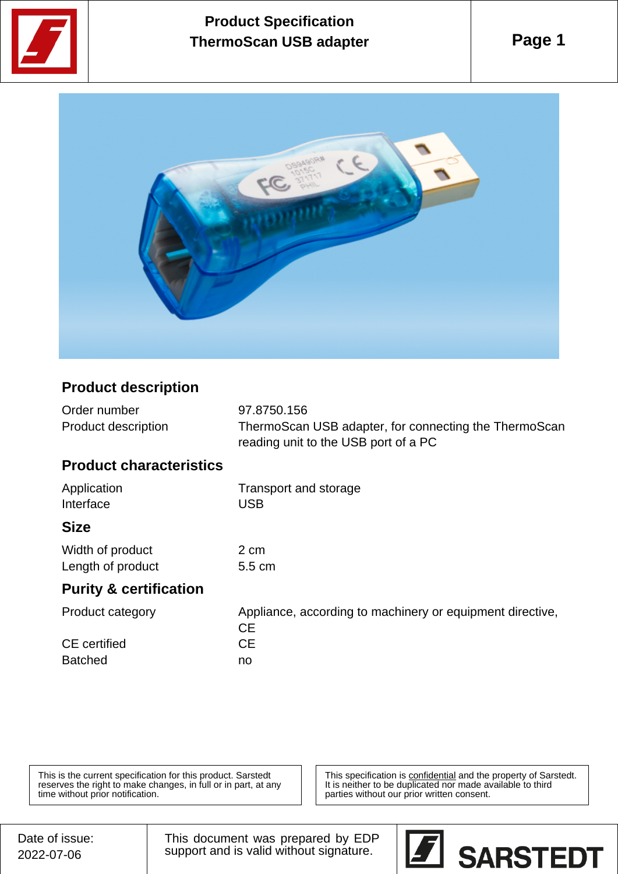

# **Product Specification ThermoScan USB adapter**



## **Product description**

| Order number        | 97.8750.156                                           |
|---------------------|-------------------------------------------------------|
| Product description | ThermoScan USB adapter, for connecting the ThermoScan |
|                     | reading unit to the USB port of a PC                  |

#### **Product characteristics**

| Application | Transport and storage |
|-------------|-----------------------|
| Interface   | <b>USB</b>            |
| <b>Size</b> |                       |

2 cm  $5.5$  cm

| Width of product  |  |
|-------------------|--|
| Length of product |  |

### **Purity & certification**

| Appliance, according to machinery or equipment directive, |
|-----------------------------------------------------------|
| CЕ                                                        |
| CЕ                                                        |
| no                                                        |
|                                                           |

This is the current specification for this product. Sarstedt reserves the right to make changes, in full or in part, at any time without prior notification.

This specification is **confidential** and the property of Sarstedt. It is neither to be duplicated nor made available to third parties without our prior written consent.